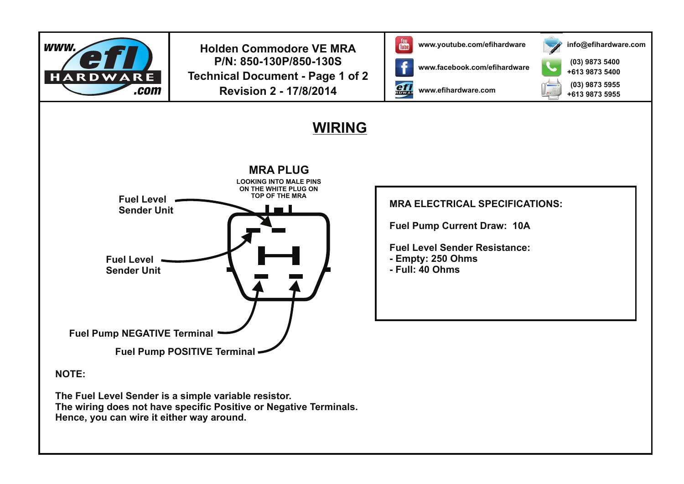

**Holden Commodore VE MRA In the US WAV** www.youtube.com/efihardware **P/N: 850-130P/850-130S Technical Document - Page 1 of 2 Revision 2 - 17/8/2014**



ef

**www.facebook.com/efihardware**

**www.efihardware.com**



**(03) 9873 5400 (03) 9873 5955 +613 9873 5400 +613 9873 5955**

**info@efihardware.com**

## **WIRING**



**NOTE:**

**The Fuel Level Sender is a simple variable resistor. The wiring does not have specific Positive or Negative Terminals. Hence, you can wire it either way around.**

**MRA ELECTRICAL SPECIFICATIONS: Fuel Pump Current Draw: 10A Fuel Level Sender Resistance: - Empty: 250 Ohms - Full: 40 Ohms**